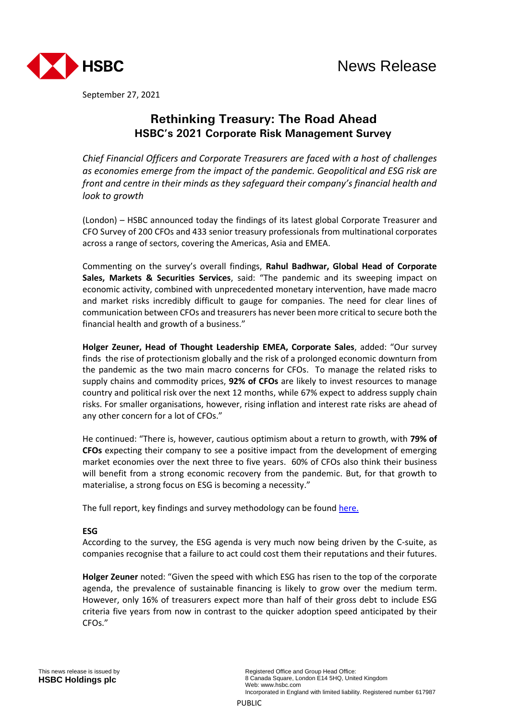

September 27, 2021

# **Rethinking Treasury: The Road Ahead HSBC's 2021 Corporate Risk Management Survey**

*Chief Financial Officers and Corporate Treasurers are faced with a host of challenges as economies emerge from the impact of the pandemic. Geopolitical and ESG risk are front and centre in their minds as they safeguard their company's financial health and look to growth*

(London) – HSBC announced today the findings of its latest global Corporate Treasurer and CFO Survey of 200 CFOs and 433 senior treasury professionals from multinational corporates across a range of sectors, covering the Americas, Asia and EMEA.

Commenting on the survey's overall findings, **Rahul Badhwar, Global Head of Corporate Sales, Markets & Securities Services**, said: "The pandemic and its sweeping impact on economic activity, combined with unprecedented monetary intervention, have made macro and market risks incredibly difficult to gauge for companies. The need for clear lines of communication between CFOs and treasurers has never been more critical to secure both the financial health and growth of a business."

**Holger Zeuner, Head of Thought Leadership EMEA, Corporate Sales**, added: "Our survey finds the rise of protectionism globally and the risk of a prolonged economic downturn from the pandemic as the two main macro concerns for CFOs. To manage the related risks to supply chains and commodity prices, **92% of CFOs** are likely to invest resources to manage country and political risk over the next 12 months, while 67% expect to address supply chain risks. For smaller organisations, however, rising inflation and interest rate risks are ahead of any other concern for a lot of CFOs."

He continued: "There is, however, cautious optimism about a return to growth, with **79% of CFOs** expecting their company to see a positive impact from the development of emerging market economies over the next three to five years. 60% of CFOs also think their business will benefit from a strong economic recovery from the pandemic. But, for that growth to materialise, a strong focus on ESG is becoming a necessity."

The full report, key findings and survey methodology can be foun[d here.](https://www.gbm.hsbc.com/en-gb/campaigns/rethinking-treasury-survey-2021)

## **ESG**

According to the survey, the ESG agenda is very much now being driven by the C-suite, as companies recognise that a failure to act could cost them their reputations and their futures.

**Holger Zeuner** noted: "Given the speed with which ESG has risen to the top of the corporate agenda, the prevalence of sustainable financing is likely to grow over the medium term. However, only 16% of treasurers expect more than half of their gross debt to include ESG criteria five years from now in contrast to the quicker adoption speed anticipated by their CFOs."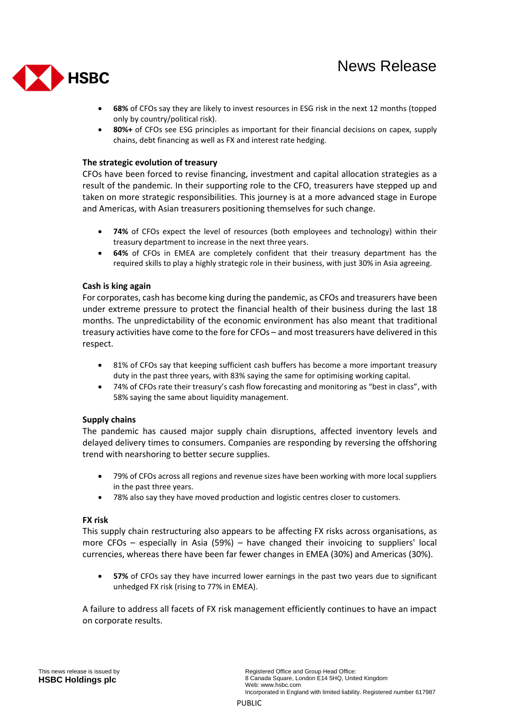

- **68%** of CFOs say they are likely to invest resources in ESG risk in the next 12 months (topped only by country/political risk).
- **80%+** of CFOs see ESG principles as important for their financial decisions on capex, supply chains, debt financing as well as FX and interest rate hedging.

### **The strategic evolution of treasury**

CFOs have been forced to revise financing, investment and capital allocation strategies as a result of the pandemic. In their supporting role to the CFO, treasurers have stepped up and taken on more strategic responsibilities. This journey is at a more advanced stage in Europe and Americas, with Asian treasurers positioning themselves for such change.

- **74%** of CFOs expect the level of resources (both employees and technology) within their treasury department to increase in the next three years.
- **64%** of CFOs in EMEA are completely confident that their treasury department has the required skills to play a highly strategic role in their business, with just 30% in Asia agreeing.

### **Cash is king again**

For corporates, cash has become king during the pandemic, as CFOs and treasurers have been under extreme pressure to protect the financial health of their business during the last 18 months. The unpredictability of the economic environment has also meant that traditional treasury activities have come to the fore for CFOs – and most treasurers have delivered in this respect.

- 81% of CFOs say that keeping sufficient cash buffers has become a more important treasury duty in the past three years, with 83% saying the same for optimising working capital.
- 74% of CFOs rate their treasury's cash flow forecasting and monitoring as "best in class", with 58% saying the same about liquidity management.

### **Supply chains**

The pandemic has caused major supply chain disruptions, affected inventory levels and delayed delivery times to consumers. Companies are responding by reversing the offshoring trend with nearshoring to better secure supplies.

- 79% of CFOs across all regions and revenue sizes have been working with more local suppliers in the past three years.
- 78% also say they have moved production and logistic centres closer to customers.

### **FX risk**

This supply chain restructuring also appears to be affecting FX risks across organisations, as more CFOs – especially in Asia (59%) – have changed their invoicing to suppliers' local currencies, whereas there have been far fewer changes in EMEA (30%) and Americas (30%).

 **57%** of CFOs say they have incurred lower earnings in the past two years due to significant unhedged FX risk (rising to 77% in EMEA).

A failure to address all facets of FX risk management efficiently continues to have an impact on corporate results.